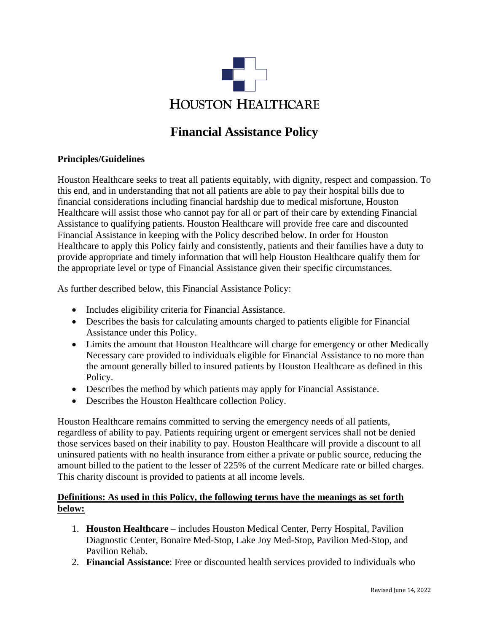

# **Financial Assistance Policy**

## **Principles/Guidelines**

Houston Healthcare seeks to treat all patients equitably, with dignity, respect and compassion. To this end, and in understanding that not all patients are able to pay their hospital bills due to financial considerations including financial hardship due to medical misfortune, Houston Healthcare will assist those who cannot pay for all or part of their care by extending Financial Assistance to qualifying patients. Houston Healthcare will provide free care and discounted Financial Assistance in keeping with the Policy described below. In order for Houston Healthcare to apply this Policy fairly and consistently, patients and their families have a duty to provide appropriate and timely information that will help Houston Healthcare qualify them for the appropriate level or type of Financial Assistance given their specific circumstances.

As further described below, this Financial Assistance Policy:

- Includes eligibility criteria for Financial Assistance.
- Describes the basis for calculating amounts charged to patients eligible for Financial Assistance under this Policy.
- Limits the amount that Houston Healthcare will charge for emergency or other Medically Necessary care provided to individuals eligible for Financial Assistance to no more than the amount generally billed to insured patients by Houston Healthcare as defined in this Policy.
- Describes the method by which patients may apply for Financial Assistance.
- Describes the Houston Healthcare collection Policy.

Houston Healthcare remains committed to serving the emergency needs of all patients, regardless of ability to pay. Patients requiring urgent or emergent services shall not be denied those services based on their inability to pay. Houston Healthcare will provide a discount to all uninsured patients with no health insurance from either a private or public source, reducing the amount billed to the patient to the lesser of 225% of the current Medicare rate or billed charges. This charity discount is provided to patients at all income levels.

# **Definitions: As used in this Policy, the following terms have the meanings as set forth below:**

- 1. **Houston Healthcare** includes Houston Medical Center, Perry Hospital, Pavilion Diagnostic Center, Bonaire Med-Stop, Lake Joy Med-Stop, Pavilion Med-Stop, and Pavilion Rehab.
- 2. **Financial Assistance**: Free or discounted health services provided to individuals who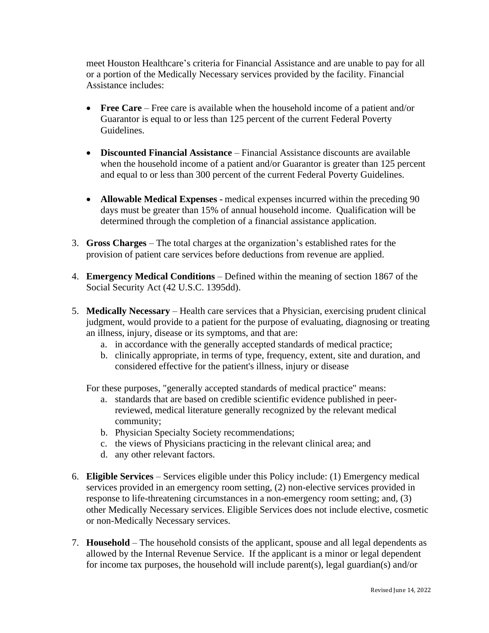meet Houston Healthcare's criteria for Financial Assistance and are unable to pay for all or a portion of the Medically Necessary services provided by the facility. Financial Assistance includes:

- **Free Care** Free care is available when the household income of a patient and/or Guarantor is equal to or less than 125 percent of the current Federal Poverty Guidelines.
- **Discounted Financial Assistance** Financial Assistance discounts are available when the household income of a patient and/or Guarantor is greater than 125 percent and equal to or less than 300 percent of the current Federal Poverty Guidelines.
- **Allowable Medical Expenses -** medical expenses incurred within the preceding 90 days must be greater than 15% of annual household income. Qualification will be determined through the completion of a financial assistance application.
- 3. **Gross Charges** The total charges at the organization's established rates for the provision of patient care services before deductions from revenue are applied.
- 4. **Emergency Medical Conditions** Defined within the meaning of section 1867 of the Social Security Act (42 U.S.C. 1395dd).
- 5. **Medically Necessary** Health care services that a Physician, exercising prudent clinical judgment, would provide to a patient for the purpose of evaluating, diagnosing or treating an illness, injury, disease or its symptoms, and that are:
	- a. in accordance with the generally accepted standards of medical practice;
	- b. clinically appropriate, in terms of type, frequency, extent, site and duration, and considered effective for the patient's illness, injury or disease

For these purposes, "generally accepted standards of medical practice" means:

- a. standards that are based on credible scientific evidence published in peerreviewed, medical literature generally recognized by the relevant medical community;
- b. Physician Specialty Society recommendations;
- c. the views of Physicians practicing in the relevant clinical area; and
- d. any other relevant factors.
- 6. **Eligible Services** Services eligible under this Policy include: (1) Emergency medical services provided in an emergency room setting, (2) non-elective services provided in response to life-threatening circumstances in a non-emergency room setting; and, (3) other Medically Necessary services. Eligible Services does not include elective, cosmetic or non-Medically Necessary services.
- 7. **Household** The household consists of the applicant, spouse and all legal dependents as allowed by the Internal Revenue Service. If the applicant is a minor or legal dependent for income tax purposes, the household will include parent(s), legal guardian(s) and/or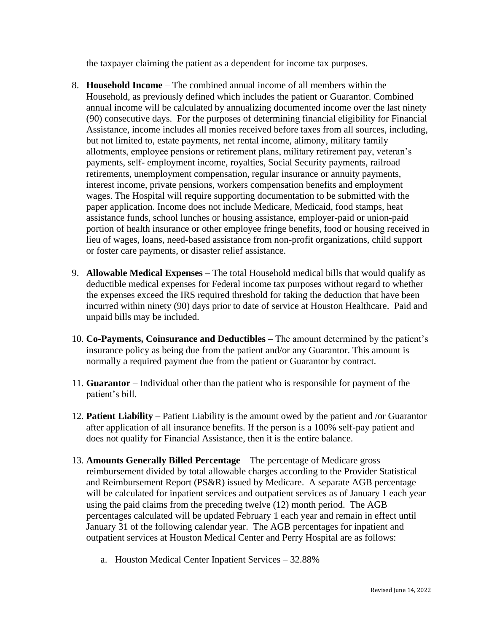the taxpayer claiming the patient as a dependent for income tax purposes.

- 8. **Household Income** The combined annual income of all members within the Household, as previously defined which includes the patient or Guarantor. Combined annual income will be calculated by annualizing documented income over the last ninety (90) consecutive days. For the purposes of determining financial eligibility for Financial Assistance, income includes all monies received before taxes from all sources, including, but not limited to, estate payments, net rental income, alimony, military family allotments, employee pensions or retirement plans, military retirement pay, veteran's payments, self- employment income, royalties, Social Security payments, railroad retirements, unemployment compensation, regular insurance or annuity payments, interest income, private pensions, workers compensation benefits and employment wages. The Hospital will require supporting documentation to be submitted with the paper application. Income does not include Medicare, Medicaid, food stamps, heat assistance funds, school lunches or housing assistance, employer-paid or union-paid portion of health insurance or other employee fringe benefits, food or housing received in lieu of wages, loans, need-based assistance from non-profit organizations, child support or foster care payments, or disaster relief assistance.
- 9. **Allowable Medical Expenses**  The total Household medical bills that would qualify as deductible medical expenses for Federal income tax purposes without regard to whether the expenses exceed the IRS required threshold for taking the deduction that have been incurred within ninety (90) days prior to date of service at Houston Healthcare. Paid and unpaid bills may be included.
- 10. **Co-Payments, Coinsurance and Deductibles** The amount determined by the patient's insurance policy as being due from the patient and/or any Guarantor. This amount is normally a required payment due from the patient or Guarantor by contract.
- 11. **Guarantor** Individual other than the patient who is responsible for payment of the patient's bill.
- 12. **Patient Liability** Patient Liability is the amount owed by the patient and /or Guarantor after application of all insurance benefits. If the person is a 100% self-pay patient and does not qualify for Financial Assistance, then it is the entire balance.
- 13. **Amounts Generally Billed Percentage** The percentage of Medicare gross reimbursement divided by total allowable charges according to the Provider Statistical and Reimbursement Report (PS&R) issued by Medicare. A separate AGB percentage will be calculated for inpatient services and outpatient services as of January 1 each year using the paid claims from the preceding twelve (12) month period. The AGB percentages calculated will be updated February 1 each year and remain in effect until January 31 of the following calendar year. The AGB percentages for inpatient and outpatient services at Houston Medical Center and Perry Hospital are as follows:
	- a. Houston Medical Center Inpatient Services 32.88%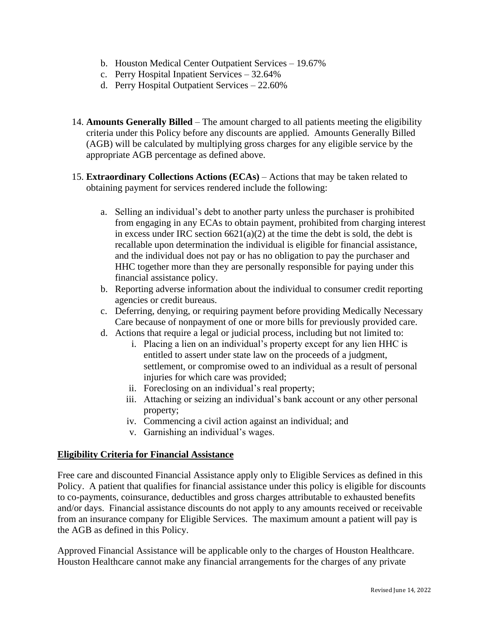- b. Houston Medical Center Outpatient Services 19.67%
- c. Perry Hospital Inpatient Services 32.64%
- d. Perry Hospital Outpatient Services 22.60%
- 14. **Amounts Generally Billed** The amount charged to all patients meeting the eligibility criteria under this Policy before any discounts are applied. Amounts Generally Billed (AGB) will be calculated by multiplying gross charges for any eligible service by the appropriate AGB percentage as defined above.
- 15. **Extraordinary Collections Actions (ECAs)**  Actions that may be taken related to obtaining payment for services rendered include the following:
	- a. Selling an individual's debt to another party unless the purchaser is prohibited from engaging in any ECAs to obtain payment, prohibited from charging interest in excess under IRC section  $6621(a)(2)$  at the time the debt is sold, the debt is recallable upon determination the individual is eligible for financial assistance, and the individual does not pay or has no obligation to pay the purchaser and HHC together more than they are personally responsible for paying under this financial assistance policy.
	- b. Reporting adverse information about the individual to consumer credit reporting agencies or credit bureaus.
	- c. Deferring, denying, or requiring payment before providing Medically Necessary Care because of nonpayment of one or more bills for previously provided care.
	- d. Actions that require a legal or judicial process, including but not limited to:
		- i. Placing a lien on an individual's property except for any lien HHC is entitled to assert under state law on the proceeds of a judgment, settlement, or compromise owed to an individual as a result of personal injuries for which care was provided;
		- ii. Foreclosing on an individual's real property;
		- iii. Attaching or seizing an individual's bank account or any other personal property;
		- iv. Commencing a civil action against an individual; and
		- v. Garnishing an individual's wages.

### **Eligibility Criteria for Financial Assistance**

Free care and discounted Financial Assistance apply only to Eligible Services as defined in this Policy. A patient that qualifies for financial assistance under this policy is eligible for discounts to co-payments, coinsurance, deductibles and gross charges attributable to exhausted benefits and/or days. Financial assistance discounts do not apply to any amounts received or receivable from an insurance company for Eligible Services. The maximum amount a patient will pay is the AGB as defined in this Policy.

Approved Financial Assistance will be applicable only to the charges of Houston Healthcare. Houston Healthcare cannot make any financial arrangements for the charges of any private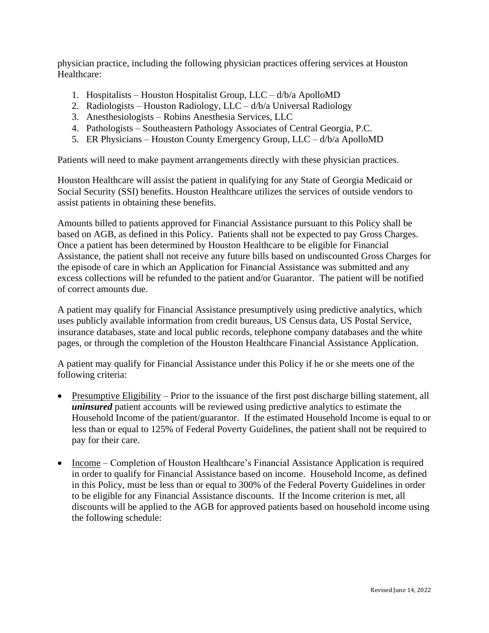physician practice, including the following physician practices offering services at Houston Healthcare:

- 1. Hospitalists Houston Hospitalist Group, LLC d/b/a ApolloMD
- 2. Radiologists Houston Radiology, LLC  $d/b/a$  Universal Radiology
- 3. Anesthesiologists Robins Anesthesia Services, LLC
- 4. Pathologists Southeastern Pathology Associates of Central Georgia, P.C.
- 5. ER Physicians Houston County Emergency Group, LLC d/b/a ApolloMD

Patients will need to make payment arrangements directly with these physician practices.

Houston Healthcare will assist the patient in qualifying for any State of Georgia Medicaid or Social Security (SSI) benefits. Houston Healthcare utilizes the services of outside vendors to assist patients in obtaining these benefits.

Amounts billed to patients approved for Financial Assistance pursuant to this Policy shall be based on AGB, as defined in this Policy. Patients shall not be expected to pay Gross Charges. Once a patient has been determined by Houston Healthcare to be eligible for Financial Assistance, the patient shall not receive any future bills based on undiscounted Gross Charges for the episode of care in which an Application for Financial Assistance was submitted and any excess collections will be refunded to the patient and/or Guarantor. The patient will be notified of correct amounts due.

A patient may qualify for Financial Assistance presumptively using predictive analytics, which uses publicly available information from credit bureaus, US Census data, US Postal Service, insurance databases, state and local public records, telephone company databases and the white pages, or through the completion of the Houston Healthcare Financial Assistance Application.

A patient may qualify for Financial Assistance under this Policy if he or she meets one of the following criteria:

- Presumptive Eligibility Prior to the issuance of the first post discharge billing statement, all *uninsured* patient accounts will be reviewed using predictive analytics to estimate the Household Income of the patient/guarantor. If the estimated Household Income is equal to or less than or equal to 125% of Federal Poverty Guidelines, the patient shall not be required to pay for their care.
- Income Completion of Houston Healthcare's Financial Assistance Application is required in order to qualify for Financial Assistance based on income. Household Income, as defined in this Policy, must be less than or equal to 300% of the Federal Poverty Guidelines in order to be eligible for any Financial Assistance discounts. If the Income criterion is met, all discounts will be applied to the AGB for approved patients based on household income using the following schedule: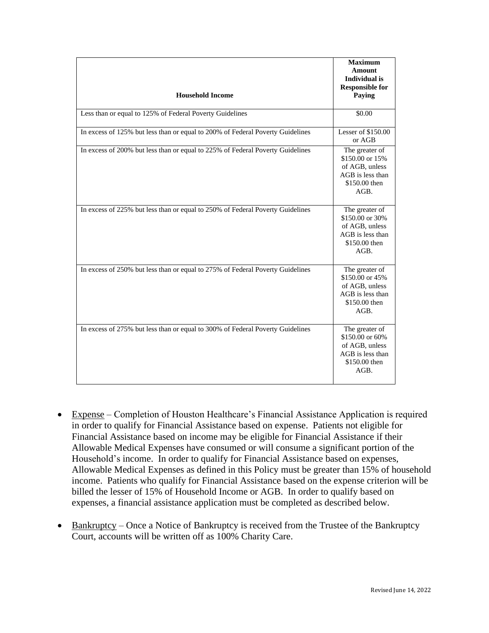|                                                                                | <b>Maximum</b><br><b>Amount</b><br><b>Individual</b> is<br><b>Responsible for</b>                |
|--------------------------------------------------------------------------------|--------------------------------------------------------------------------------------------------|
| <b>Household Income</b>                                                        | Paying                                                                                           |
| Less than or equal to 125% of Federal Poverty Guidelines                       | \$0.00                                                                                           |
| In excess of 125% but less than or equal to 200% of Federal Poverty Guidelines | Lesser of \$150.00<br>or AGB                                                                     |
| In excess of 200% but less than or equal to 225% of Federal Poverty Guidelines | The greater of<br>\$150.00 or 15%<br>of AGB, unless<br>AGB is less than<br>\$150.00 then<br>AGB. |
| In excess of 225% but less than or equal to 250% of Federal Poverty Guidelines | The greater of<br>\$150.00 or 30%<br>of AGB, unless<br>AGB is less than<br>\$150.00 then<br>AGB. |
| In excess of 250% but less than or equal to 275% of Federal Poverty Guidelines | The greater of<br>\$150.00 or 45%<br>of AGB, unless<br>AGB is less than<br>\$150.00 then<br>AGB. |
| In excess of 275% but less than or equal to 300% of Federal Poverty Guidelines | The greater of<br>\$150.00 or 60%<br>of AGB, unless<br>AGB is less than<br>\$150.00 then<br>AGB. |

- Expense Completion of Houston Healthcare's Financial Assistance Application is required in order to qualify for Financial Assistance based on expense. Patients not eligible for Financial Assistance based on income may be eligible for Financial Assistance if their Allowable Medical Expenses have consumed or will consume a significant portion of the Household's income. In order to qualify for Financial Assistance based on expenses, Allowable Medical Expenses as defined in this Policy must be greater than 15% of household income. Patients who qualify for Financial Assistance based on the expense criterion will be billed the lesser of 15% of Household Income or AGB. In order to qualify based on expenses, a financial assistance application must be completed as described below.
- Bankruptcy Once a Notice of Bankruptcy is received from the Trustee of the Bankruptcy Court, accounts will be written off as 100% Charity Care.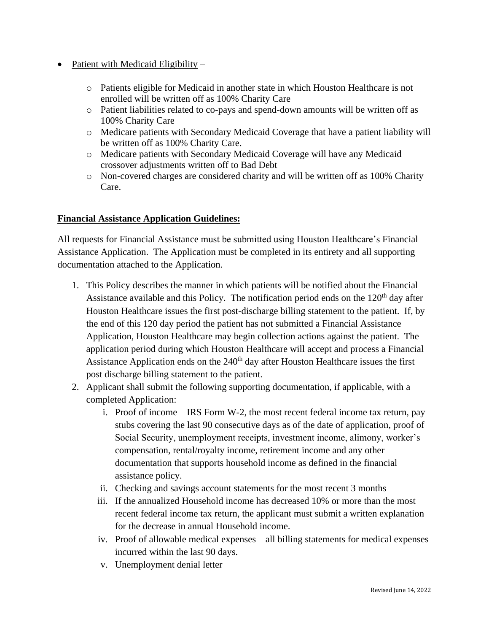- Patient with Medicaid Eligibility
	- o Patients eligible for Medicaid in another state in which Houston Healthcare is not enrolled will be written off as 100% Charity Care
	- o Patient liabilities related to co-pays and spend-down amounts will be written off as 100% Charity Care
	- o Medicare patients with Secondary Medicaid Coverage that have a patient liability will be written off as 100% Charity Care.
	- o Medicare patients with Secondary Medicaid Coverage will have any Medicaid crossover adjustments written off to Bad Debt
	- o Non-covered charges are considered charity and will be written off as 100% Charity Care.

### **Financial Assistance Application Guidelines:**

All requests for Financial Assistance must be submitted using Houston Healthcare's Financial Assistance Application. The Application must be completed in its entirety and all supporting documentation attached to the Application.

- 1. This Policy describes the manner in which patients will be notified about the Financial Assistance available and this Policy. The notification period ends on the  $120<sup>th</sup>$  day after Houston Healthcare issues the first post-discharge billing statement to the patient. If, by the end of this 120 day period the patient has not submitted a Financial Assistance Application, Houston Healthcare may begin collection actions against the patient. The application period during which Houston Healthcare will accept and process a Financial Assistance Application ends on the  $240<sup>th</sup>$  day after Houston Healthcare issues the first post discharge billing statement to the patient.
- 2. Applicant shall submit the following supporting documentation, if applicable, with a completed Application:
	- i. Proof of income IRS Form W-2, the most recent federal income tax return, pay stubs covering the last 90 consecutive days as of the date of application, proof of Social Security, unemployment receipts, investment income, alimony, worker's compensation, rental/royalty income, retirement income and any other documentation that supports household income as defined in the financial assistance policy.
	- ii. Checking and savings account statements for the most recent 3 months
	- iii. If the annualized Household income has decreased 10% or more than the most recent federal income tax return, the applicant must submit a written explanation for the decrease in annual Household income.
	- iv. Proof of allowable medical expenses all billing statements for medical expenses incurred within the last 90 days.
	- v. Unemployment denial letter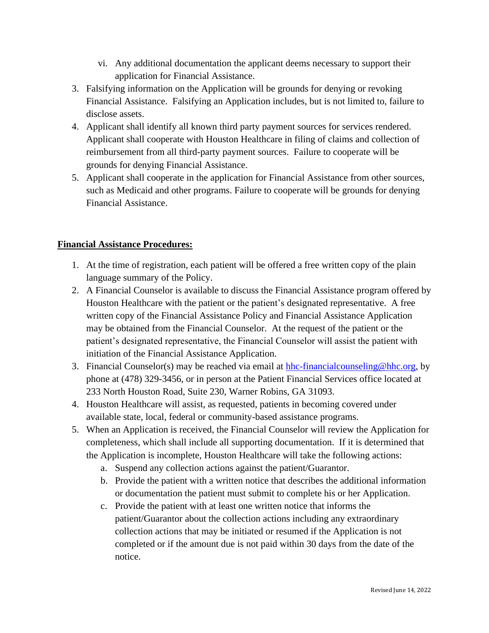- vi. Any additional documentation the applicant deems necessary to support their application for Financial Assistance.
- 3. Falsifying information on the Application will be grounds for denying or revoking Financial Assistance. Falsifying an Application includes, but is not limited to, failure to disclose assets.
- 4. Applicant shall identify all known third party payment sources for services rendered. Applicant shall cooperate with Houston Healthcare in filing of claims and collection of reimbursement from all third-party payment sources. Failure to cooperate will be grounds for denying Financial Assistance.
- 5. Applicant shall cooperate in the application for Financial Assistance from other sources, such as Medicaid and other programs. Failure to cooperate will be grounds for denying Financial Assistance.

# **Financial Assistance Procedures:**

- 1. At the time of registration, each patient will be offered a free written copy of the plain language summary of the Policy.
- 2. A Financial Counselor is available to discuss the Financial Assistance program offered by Houston Healthcare with the patient or the patient's designated representative. A free written copy of the Financial Assistance Policy and Financial Assistance Application may be obtained from the Financial Counselor. At the request of the patient or the patient's designated representative, the Financial Counselor will assist the patient with initiation of the Financial Assistance Application.
- 3. Financial Counselor(s) may be reached via email at  $hhc-financialcouseling@hhc.org$ , by</u> phone at (478) 329-3456, or in person at the Patient Financial Services office located at 233 North Houston Road, Suite 230, Warner Robins, GA 31093.
- 4. Houston Healthcare will assist, as requested, patients in becoming covered under available state, local, federal or community-based assistance programs.
- 5. When an Application is received, the Financial Counselor will review the Application for completeness, which shall include all supporting documentation. If it is determined that the Application is incomplete, Houston Healthcare will take the following actions:
	- a. Suspend any collection actions against the patient/Guarantor.
	- b. Provide the patient with a written notice that describes the additional information or documentation the patient must submit to complete his or her Application.
	- c. Provide the patient with at least one written notice that informs the patient/Guarantor about the collection actions including any extraordinary collection actions that may be initiated or resumed if the Application is not completed or if the amount due is not paid within 30 days from the date of the notice.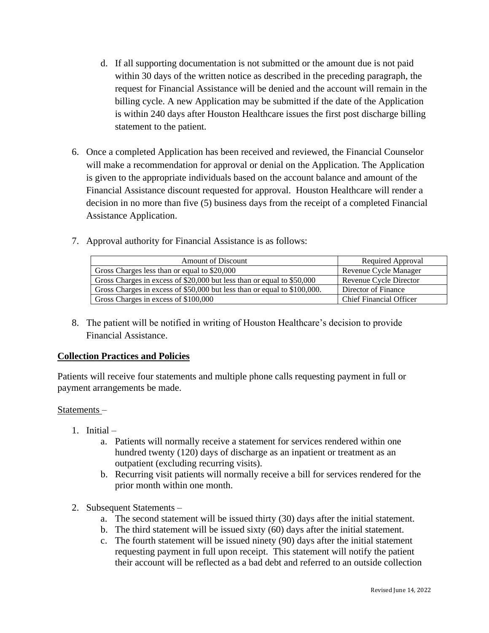- d. If all supporting documentation is not submitted or the amount due is not paid within 30 days of the written notice as described in the preceding paragraph, the request for Financial Assistance will be denied and the account will remain in the billing cycle. A new Application may be submitted if the date of the Application is within 240 days after Houston Healthcare issues the first post discharge billing statement to the patient.
- 6. Once a completed Application has been received and reviewed, the Financial Counselor will make a recommendation for approval or denial on the Application. The Application is given to the appropriate individuals based on the account balance and amount of the Financial Assistance discount requested for approval. Houston Healthcare will render a decision in no more than five (5) business days from the receipt of a completed Financial Assistance Application.
- 7. Approval authority for Financial Assistance is as follows:

| <b>Amount of Discount</b>                                                | Required Approval       |
|--------------------------------------------------------------------------|-------------------------|
| Gross Charges less than or equal to \$20,000                             | Revenue Cycle Manager   |
| Gross Charges in excess of \$20,000 but less than or equal to \$50,000   | Revenue Cycle Director  |
| Gross Charges in excess of \$50,000 but less than or equal to \$100,000. | Director of Finance     |
| Gross Charges in excess of \$100,000                                     | Chief Financial Officer |

8. The patient will be notified in writing of Houston Healthcare's decision to provide Financial Assistance.

# **Collection Practices and Policies**

Patients will receive four statements and multiple phone calls requesting payment in full or payment arrangements be made.

### Statements –

- 1. Initial
	- a. Patients will normally receive a statement for services rendered within one hundred twenty (120) days of discharge as an inpatient or treatment as an outpatient (excluding recurring visits).
	- b. Recurring visit patients will normally receive a bill for services rendered for the prior month within one month.
- 2. Subsequent Statements
	- a. The second statement will be issued thirty (30) days after the initial statement.
	- b. The third statement will be issued sixty (60) days after the initial statement.
	- c. The fourth statement will be issued ninety (90) days after the initial statement requesting payment in full upon receipt. This statement will notify the patient their account will be reflected as a bad debt and referred to an outside collection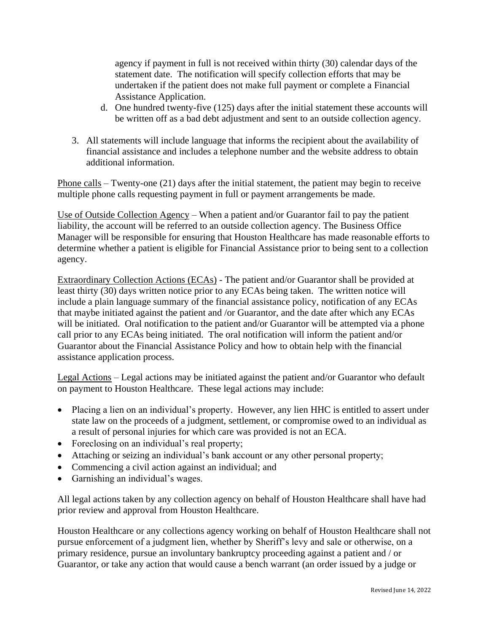agency if payment in full is not received within thirty (30) calendar days of the statement date. The notification will specify collection efforts that may be undertaken if the patient does not make full payment or complete a Financial Assistance Application.

- d. One hundred twenty-five (125) days after the initial statement these accounts will be written off as a bad debt adjustment and sent to an outside collection agency.
- 3. All statements will include language that informs the recipient about the availability of financial assistance and includes a telephone number and the website address to obtain additional information.

Phone calls – Twenty-one (21) days after the initial statement, the patient may begin to receive multiple phone calls requesting payment in full or payment arrangements be made.

Use of Outside Collection Agency – When a patient and/or Guarantor fail to pay the patient liability, the account will be referred to an outside collection agency. The Business Office Manager will be responsible for ensuring that Houston Healthcare has made reasonable efforts to determine whether a patient is eligible for Financial Assistance prior to being sent to a collection agency.

Extraordinary Collection Actions (ECAs) - The patient and/or Guarantor shall be provided at least thirty (30) days written notice prior to any ECAs being taken. The written notice will include a plain language summary of the financial assistance policy, notification of any ECAs that maybe initiated against the patient and /or Guarantor, and the date after which any ECAs will be initiated. Oral notification to the patient and/or Guarantor will be attempted via a phone call prior to any ECAs being initiated. The oral notification will inform the patient and/or Guarantor about the Financial Assistance Policy and how to obtain help with the financial assistance application process.

Legal Actions – Legal actions may be initiated against the patient and/or Guarantor who default on payment to Houston Healthcare. These legal actions may include:

- Placing a lien on an individual's property. However, any lien HHC is entitled to assert under state law on the proceeds of a judgment, settlement, or compromise owed to an individual as a result of personal injuries for which care was provided is not an ECA.
- Foreclosing on an individual's real property;
- Attaching or seizing an individual's bank account or any other personal property;
- Commencing a civil action against an individual; and
- Garnishing an individual's wages.

All legal actions taken by any collection agency on behalf of Houston Healthcare shall have had prior review and approval from Houston Healthcare.

Houston Healthcare or any collections agency working on behalf of Houston Healthcare shall not pursue enforcement of a judgment lien, whether by Sheriff's levy and sale or otherwise, on a primary residence, pursue an involuntary bankruptcy proceeding against a patient and / or Guarantor, or take any action that would cause a bench warrant (an order issued by a judge or